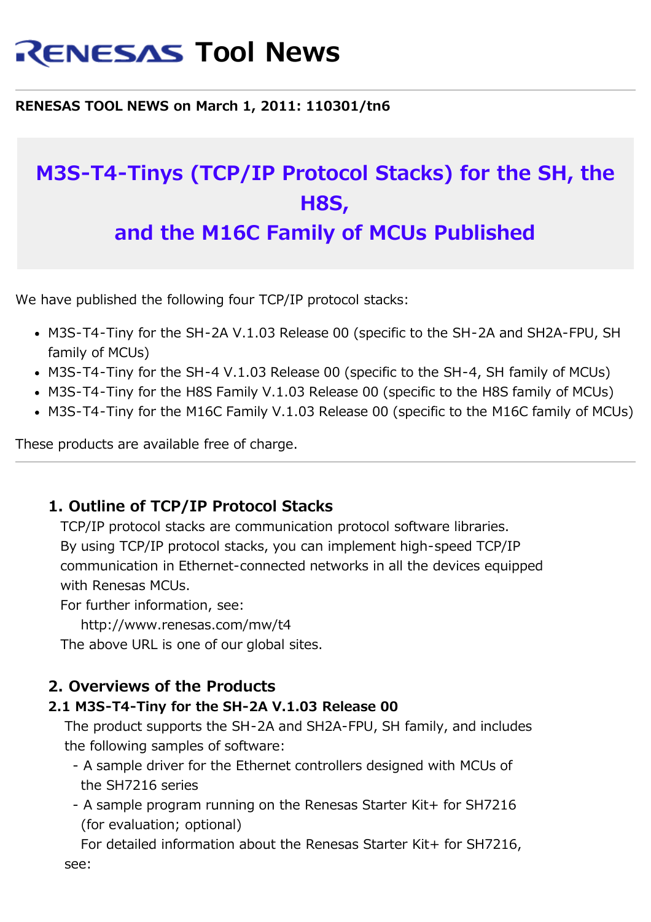# **RENESAS Tool News**

#### **RENESAS TOOL NEWS on March 1, 2011: 110301/tn6**

# **M3S-T4-Tinys (TCP/IP Protocol Stacks) for the SH, the H8S, and the M16C Family of MCUs Published**

We have published the following four TCP/IP protocol stacks:

- M3S-T4-Tiny for the SH-2A V.1.03 Release 00 (specific to the SH-2A and SH2A-FPU, SH family of MCUs)
- M3S-T4-Tiny for the SH-4 V.1.03 Release 00 (specific to the SH-4, SH family of MCUs)
- M3S-T4-Tiny for the H8S Family V.1.03 Release 00 (specific to the H8S family of MCUs)
- M3S-T4-Tiny for the M16C Family V.1.03 Release 00 (specific to the M16C family of MCUs)

These products are available free of charge.

#### **1. Outline of TCP/IP Protocol Stacks**

 TCP/IP protocol stacks are communication protocol software libraries. By using TCP/IP protocol stacks, you can implement high-speed TCP/IP communication in Ethernet-connected networks in all the devices equipped with Renesas MCUs.

For further information, see:

http://www.renesas.com/mw/t4

The above URL is one of our global sites.

#### **2. Overviews of the Products**

#### **2.1 M3S-T4-Tiny for the SH-2A V.1.03 Release 00**

 The product supports the SH-2A and SH2A-FPU, SH family, and includes the following samples of software:

- A sample driver for the Ethernet controllers designed with MCUs of the SH7216 series
- A sample program running on the Renesas Starter Kit+ for SH7216 (for evaluation; optional)

For detailed information about the Renesas Starter Kit+ for SH7216, see: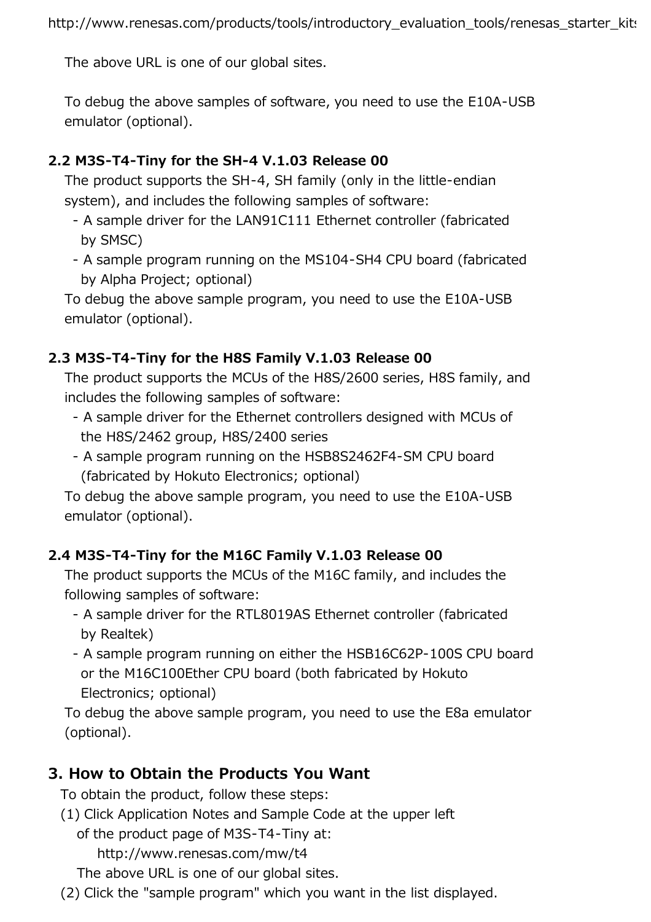The above URL is one of our global sites.

 To debug the above samples of software, you need to use the E10A-USB emulator (optional).

#### **2.2 M3S-T4-Tiny for the SH-4 V.1.03 Release 00**

 The product supports the SH-4, SH family (only in the little-endian system), and includes the following samples of software:

- A sample driver for the LAN91C111 Ethernet controller (fabricated by SMSC)
- A sample program running on the MS104-SH4 CPU board (fabricated by Alpha Project; optional)

 To debug the above sample program, you need to use the E10A-USB emulator (optional).

#### **2.3 M3S-T4-Tiny for the H8S Family V.1.03 Release 00**

 The product supports the MCUs of the H8S/2600 series, H8S family, and includes the following samples of software:

- A sample driver for the Ethernet controllers designed with MCUs of the H8S/2462 group, H8S/2400 series
- A sample program running on the HSB8S2462F4-SM CPU board (fabricated by Hokuto Electronics; optional)

 To debug the above sample program, you need to use the E10A-USB emulator (optional).

#### **2.4 M3S-T4-Tiny for the M16C Family V.1.03 Release 00**

 The product supports the MCUs of the M16C family, and includes the following samples of software:

- A sample driver for the RTL8019AS Ethernet controller (fabricated by Realtek)
- A sample program running on either the HSB16C62P-100S CPU board or the M16C100Ether CPU board (both fabricated by Hokuto Electronics; optional)

 To debug the above sample program, you need to use the E8a emulator (optional).

## **3. How to Obtain the Products You Want**

To obtain the product, follow these steps:

 (1) Click Application Notes and Sample Code at the upper left of the product page of M3S-T4-Tiny at:

http://www.renesas.com/mw/t4

The above URL is one of our global sites.

(2) Click the "sample program" which you want in the list displayed.